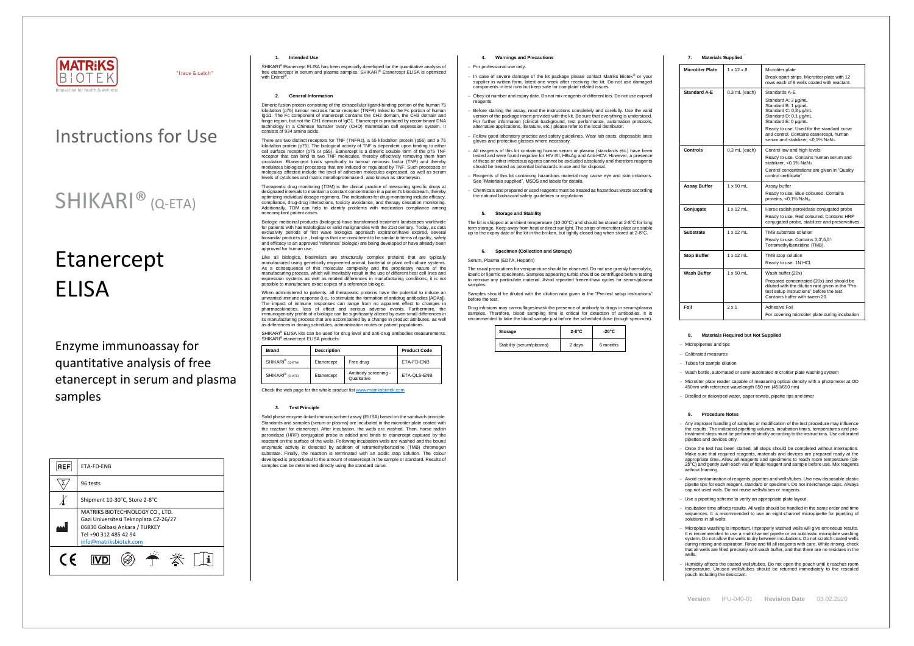

"trace & catch"

**Version** IFU-040-01 **Revision Date** 03.02.2020

# Etanercept **FLISA**

# Instructions for Use

# SHIKARI® (Q-ETA)

Enzyme immunoassay for quantitative analysis of free etanercept in serum and plasma samples

| <b>REF</b>                                                                                                                                                   | ETA-FD-ENB                    |  |  |  |
|--------------------------------------------------------------------------------------------------------------------------------------------------------------|-------------------------------|--|--|--|
|                                                                                                                                                              | 96 tests                      |  |  |  |
|                                                                                                                                                              | Shipment 10-30°C, Store 2-8°C |  |  |  |
| MATRIKS BIOTECHNOLOGY CO., LTD.<br>Gazi Universitesi Teknoplaza CZ-26/27<br>06830 Golbasi Ankara / TURKEY<br>Tel +90 312 485 42 94<br>info@matriksbiotek.com |                               |  |  |  |
| $\epsilon$                                                                                                                                                   |                               |  |  |  |

# **1. Intended Use**

SHIKARI® Etanercept ELISA has been especially developed for the quantitative analysis of free etanercept in serum and plasma samples. SHIKARI® Etanercept ELISA is optimized with Enbrel® .

# **2. General Information**

Dimeric fusion protein consisting of the extracellular ligand-binding portion of the human 75 kilodalton (p75) tumour necrosis factor receptor (TNFR) linked to the Fc portion of human IgG1. The Fc component of etanercept contains the CH2 domain, the CH3 domain and hinge region, but not the CH1 domain of IgG1. Etanercept is produced by recombinant DNA technology in a Chinese hamster ovary (CHO) mammalian cell expression system. It consists of 934 amino acids.

Therapeutic drug monitoring (TDM) is the clinical practice of measuring specific drugs at designated intervals to maintain a constant concentration in a patient's bloodstream, thereby optimizing individual dosage regimens. The indications for drug monitoring include efficacy, compliance, drug-drug interactions, toxicity avoidance, and therapy cessation monitoring. Additionally, TDM can help to identify problems with medication compliance among naamonally, 19m can no<br>noncompliant patient cases

There are two distinct receptors for TNF (TNFRs), a 55 kilodalton protein (p55) and a 75 kilodalton protein (p75). The biological activity of TNF is dependent upon binding to either cell surface receptor (p75 or p55). Etanercept is a dimeric soluble form of the p75 TNF receptor that can bind to two TNF molecules, thereby effectively removing them from circulation. Etanercept binds specifically to tumour necrosis factor (TNF) and thereby modulates biological processes that are induced or regulated by TNF. Such processes or moderate storegies processes that are maded on regalated by Third Stari processes on molecules affected include the level of adhesion molecules expressed, as well as serum levels of cytokines and matrix metalloproteinase-3, also known as stromelysin.

When administered to patients, all therapeutic proteins have the potential to induce an unwanted immune response (i.e., to stimulate the formation of antidrug antibodies [ADAs]). The impact of immune responses can range from no apparent effect to changes in pharmacokinetics, loss of effect and serious adverse events. Furthermore, the immunogenicity profile of a biologic can be significantly altered by even small differences in its manufacturing process that are accompanied by a change in product attributes, as well as differences in dosing schedules, administration routes or patient populations.

SHIKARI® ELISA kits can be used for drug level and anti-drug antibodies measurements SHIKARI<sup>®</sup> etanercept ELISA products:

Solid phase enzyme-linked immunosorbent assay (ELISA) based on the sandwich principle. Standards and samples (serum or plasma) are incubated in the microtiter plate coated with the reactant for etanercept. After incubation, the wells are washed. Then, horse radish peroxidase (HRP) conjugated probe is added and binds to etanercept captured by the reactant on the surface of the wells. Following incubation wells are washed and the bound enzymatic activity is detected by addition of tetramethylbenzidine (TMB) chromogen substrate. Finally, the reaction is terminated with an acidic stop solution. The colour developed is proportional to the amount of etanercept in the sample or standard. Results of samples can be determined directly using the standard curve.

Biologic medicinal products (biologics) have transformed treatment landscapes worldwide for patients with haematological or solid malignancies with the 21st century. Today, as data exclusivity periods of first wave biologics approach expiration/have expired, several biosimilar products (i.e., biologics that are considered to be similar in terms of quality, safety and efficacy to an approved 'reference' biologic) are being developed or have already been approved for human use.

Like all biologics, biosimilars are structurally complex proteins that are typically manufactured using genetically engineered animal, bacterial or plant cell culture systems. As a consequence of this molecular complexity and the proprietary nature of the manufacturing process, which will inevitably result in the use of different host cell lines and expression systems as well as related differences in manufacturing conditions, it is not possible to manufacture exact copies of a reference biologic.

The usual precautions for venipuncture should be observed. Do not use grossly haemolytic, icteric or lipemic specimens. Samples appearing turbid should be centrifuged before testing to remove any particulate material. Avoid repeated freeze-thaw cycles for serum/plasma samples

| <b>Brand</b>                 | <b>Description</b> |                                     | <b>Product Code</b> |
|------------------------------|--------------------|-------------------------------------|---------------------|
| SHIKARI <sup>®</sup> (Q-ETA) | Etanercept         | Free drug                           | ETA-FD-ENB          |
| SHIKARI <sup>®</sup> (S-ATE) | Etanercept         | Antibody screening -<br>Qualitative | ETA-QLS-ENB         |

Check the web page for the whole product lis[t www.matriksbiotek.com](http://www.matriksbiotek.com/)

#### **3. Test Principle**

# **4. Warnings and Precautions**

# − For professional use only.

- − In case of severe damage of the kit package please contact Matriks Biotek® or your supplier in written form, latest one week after receiving the kit. Do not use damaged components in test runs but keep safe for complaint related issues.
- − Obey lot number and expiry date. Do not mix reagents of different lots. Do not use expired reagents
- − Before starting the assay, read the instructions completely and carefully. Use the valid version of the package insert provided with the kit. Be sure that everything is understood. For further information (clinical background, test performance, automation protocols, alternative applications, literature, etc.) please refer to the local distributor.
- − Follow good laboratory practice and safety guidelines. Wear lab coats, disposable latex gloves and protective glasses where necessary.
- All reagents of this kit containing human serum or plasma (standards etc.) have been tested and were found negative for HIV I/II, HBsAg and Anti-HCV. However, a presence of these or other infectious agents cannot be excluded absolutely and therefore reagents should be treated as potential biohazards in use and for disposal.
- − Reagents of this kit containing hazardous material may cause eye and skin irritations. See "Materials supplied", MSDS and labels for details.
- − Chemicals and prepared or used reagents must be treated as hazardous waste according the national biohazard safety guidelines or regulations.

# **5. Storage and Stability**

The kit is shipped at ambient temperature (10-30°C) and should be stored at 2-8°C for long term storage. Keep away from heat or direct sunlight. The strips of microtiter plate are stable up to the expiry date of the kit in the broken, but tightly closed bag when stored at 2-8°C.

### **6. Specimen (Collection and Storage)**

# Serum, Plasma (EDTA, Heparin)

Samples should be diluted with the dilution rate given in the "Pre-test setup instructions" before the test.

Drug infusions may camouflages/mask the presence of antibody to drugs in serum/plasma samples. Therefore, blood sampling time is critical for detection of antibodies. It is recommended to take the blood sample just before the scheduled dose (trough specimen).

| Storage                  | $2-8$ °C | $-20^{\circ}$ C |
|--------------------------|----------|-----------------|
| Stability (serum/plasma) | 2 days   | 6 months        |

| 7. | <b>Materials Supplied</b> |  |
|----|---------------------------|--|
|----|---------------------------|--|

| <b>Microtiter Plate</b> | $1 \times 12 \times 8$ | Microtiter plate<br>Break apart strips. Microtiter plate with 12                                                                                                              |
|-------------------------|------------------------|-------------------------------------------------------------------------------------------------------------------------------------------------------------------------------|
|                         |                        | rows each of 8 wells coated with reactant.                                                                                                                                    |
| <b>Standard A-E</b>     | $0.3$ mL (each)        | Standards A-E                                                                                                                                                                 |
|                         |                        | Standard A: 3 µg/mL<br>Standard B: 1 µg/mL<br>Standard C: 0,3 µg/mL<br>Standard D: 0,1 µg/mL<br>Standard E: 0 µg/mL                                                           |
|                         |                        | Ready to use. Used for the standard curve<br>and control. Contains etanercept, human<br>serum and stabilizer, <0,1% NaN <sub>3</sub> .                                        |
| Controls                | $0.3$ mL (each)        | Control low and high levels                                                                                                                                                   |
|                         |                        | Ready to use. Contains human serum and<br>stabilizer, <0,1% NaN <sub>3</sub> .                                                                                                |
|                         |                        | Control concentrations are given in "Quality"<br>control certificate"                                                                                                         |
| Assay Buffer            | $1 \times 50$ ml       | Assay buffer                                                                                                                                                                  |
|                         |                        | Ready to use. Blue coloured. Contains<br>proteins, <0,1% NaN <sub>3</sub> .                                                                                                   |
| Conjugate               | $1 \times 12$ mL       | Horse radish peroxidase conjugated probe                                                                                                                                      |
|                         |                        | Ready to use. Red coloured. Contains HRP<br>conjugated probe, stabilizer and preservatives.                                                                                   |
| Substrate               | $1 \times 12$ mL       | TMB substrate solution                                                                                                                                                        |
|                         |                        | Ready to use. Contains 3,3',5,5'-<br>Tetramethylbenzidine (TMB).                                                                                                              |
| <b>Stop Buffer</b>      | $1 \times 12$ mL       | TMB stop solution                                                                                                                                                             |
|                         |                        | Ready to use. 1N HCI.                                                                                                                                                         |
| Wash Buffer             | $1 \times 50$ mL       | Wash buffer (20x)                                                                                                                                                             |
|                         |                        | Prepared concentrated (20x) and should be<br>diluted with the dilution rate given in the "Pre-<br>test setup instructions" before the test.<br>Contains buffer with tween 20. |
| Foil                    | $2 \times 1$           | Adhesive Foil                                                                                                                                                                 |
|                         |                        | For covering microtiter plate during incubation                                                                                                                               |

#### **8. Materials Required but Not Supplied**

- − Micropipettes and tips
- − Calibrated measures
- − Tubes for sample dilution
- − Wash bottle, automated or semi-automated microtiter plate washing system
- − Microtiter plate reader capable of measuring optical density with a photometer at OD 450nm with reference wavelength 650 nm (450/650 nm)
- − Distilled or deionised water, paper towels, pipette tips and timer

#### **9. Procedure Notes**

- − Any improper handling of samples or modification of the test procedure may influence the results. The indicated pipetting volumes, incubation times, temperatures and pretreatment steps must be performed strictly according to the instructions. Use calibrated pipettes and devices only.
- − Once the test has been started, all steps should be completed without interruption. Make sure that required reagents, materials and devices are prepared ready at the appropriate time. Allow all reagents and specimens to reach room temperature (18- 25°C) and gently swirl each vial of liquid reagent and sample before use. Mix reagents without foaming.
- − Avoid contamination of reagents, pipettes and wells/tubes. Use new disposable plastic pipette tips for each reagent, standard or specimen. Do not interchange caps. Always cap not used vials. Do not reuse wells/tubes or reagents.
- − Use a pipetting scheme to verify an appropriate plate layout.
- − Incubation time affects results. All wells should be handled in the same order and time sequences. It is recommended to use an eight-channel micropipette for pipetting of solutions in all wells.
- − Microplate washing is important. Improperly washed wells will give erroneous results. It is recommended to use a multichannel pipette or an automatic microplate washing system. Do not allow the wells to dry between incubations. Do not scratch coated wells during rinsing and aspiration. Rinse and fill all reagents with care. While rinsing, check that all wells are filled precisely with wash buffer, and that there are no residues in the wells.
- − Humidity affects the coated wells/tubes. Do not open the pouch until it reaches room temperature. Unused wells/tubes should be returned immediately to the resealed pouch including the desiccant.